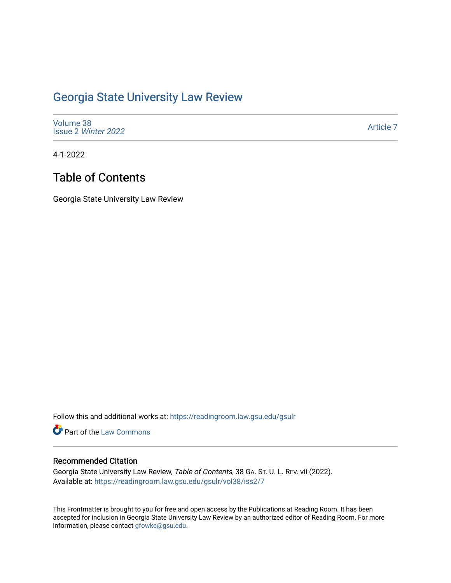## [Georgia State University Law Review](https://readingroom.law.gsu.edu/gsulr)

| Volume 38           |  |  |
|---------------------|--|--|
| Issue 2 Winter 2022 |  |  |

[Article 7](https://readingroom.law.gsu.edu/gsulr/vol38/iss2/7) 

4-1-2022

# Table of Contents

Georgia State University Law Review

Follow this and additional works at: [https://readingroom.law.gsu.edu/gsulr](https://readingroom.law.gsu.edu/gsulr?utm_source=readingroom.law.gsu.edu%2Fgsulr%2Fvol38%2Fiss2%2F7&utm_medium=PDF&utm_campaign=PDFCoverPages) 

Part of the [Law Commons](http://network.bepress.com/hgg/discipline/578?utm_source=readingroom.law.gsu.edu%2Fgsulr%2Fvol38%2Fiss2%2F7&utm_medium=PDF&utm_campaign=PDFCoverPages)

#### Recommended Citation

Georgia State University Law Review, Table of Contents, 38 GA. ST. U. L. REV. vii (2022). Available at: [https://readingroom.law.gsu.edu/gsulr/vol38/iss2/7](https://readingroom.law.gsu.edu/gsulr/vol38/iss2/7?utm_source=readingroom.law.gsu.edu%2Fgsulr%2Fvol38%2Fiss2%2F7&utm_medium=PDF&utm_campaign=PDFCoverPages)

This Frontmatter is brought to you for free and open access by the Publications at Reading Room. It has been accepted for inclusion in Georgia State University Law Review by an authorized editor of Reading Room. For more information, please contact [gfowke@gsu.edu.](mailto:gfowke@gsu.edu)